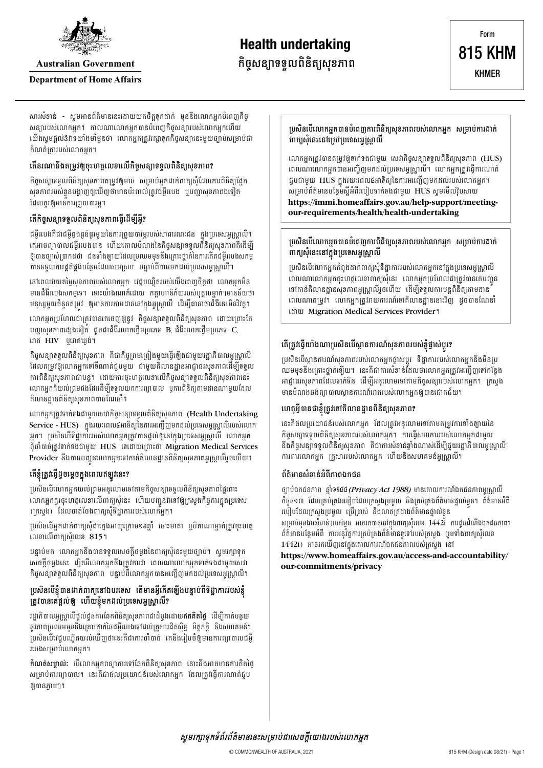

**Australian Government** 

#### **Department of Home Affairs**

សារសំខាន់ - សូមអានព័ត៌មាននេះដោយយកចិត្តទុកដាក់ មុននឹងលោកអ្នកបំពេញកិច្ សន្យារបស់លោកអ្នក។ កាលណាលោកអ្នកបានបំពេញកិច្ចសន្យារបស់លោកអ្នកហើយ យើងសូមផ្តល់ឱវាទយាំងមាំមុនថា លោកអ្នកត្រូវរក្សាទុកកិច្ចសន្យានេះមួយច្បាប់សម្រាប់ជា កំណត់តោរបស់លោកអក។

### តើនរណានឹងតម្រវឲ្យចះហតលេខាលើកិចសន្យាទទលពិនិត្យសខភាព?

កិច្ចសន្យាទទួលពិនិត្យសុខភាពតម្រូវឲ្យមាន សម្រាប់អ្នកដាក់ពាក្យសុំដែលការពិនិត្យផ្នែក សុខភាពរបស់ខ្លួនបង្ហាញឲ្យឃើញថាមានប៉ះពាល់ត្រូវជម្ងឺរបេង ឬបញ្ហាសុខភាពឯទៀត ដែលគួរឲ្យមានការព្រួយបារម្ន។

# តើកិច្ចសន្យាទទួលពិនិត្យសុខភាពធ្វើដើម្បីអ្វី?

ជម្ងឺរបេងគឺជាជម្ងឺឆ្លងធ្ងន់ធ្ងរមួយនៃការព្រួយបារម្ភរបស់សាធារណៈជន ក្នុងប្រទេសអូស្ត្រាលី។ គេអាចព្យាបាលជម្ងឺរបេងបាន ហើយគោលបំណងនៃកិច្ចសន្យាទទួលពីនិត្យសុខភាពគីដើម្បី ឲ្យបានច្បាស់ប្រាកដថា ជនទាំងឡាយដែលប្រឈមមុខនឹងគ្រោះថ្នាក់នៃការកើតជម្ងឺរបេងសកម្ម បានទទួលការផ្គត់ផ្គង់បន្ថែមដែលសមស្រប បន្ទាប់ពីបានមកដល់ប្រទេសអូស្ត្រាលី។

នៅពេលវាយតម្លៃសុខភាពរបស់លោកអ្នក វេជ្ជបណ្ឌិតរបស់យើងពេញចិត្តថា លោកអ្នកមិន មានជំងឺរបេងសកម្មទេ។ ទោះយ៉ាងណាក៏ដោយ កត្តាហានិភ័យរបស់បុគ្គលម្នាក់ៗមានន័យថា មនុស្សមួយចំនួនតម្រវ ឲ្យមានការតាមដាននៅក្នុងអូស្ត្រាលី ដើម្បីធានាថាជំងឺនេះមិនវិវត្ត។

លោកអ្នកប្រហែលជាត្រូវបានគេចេញឲ្យនូវ កិច្ចសន្យាទទួលពិនិត្យសុខភាព ដោយព្រោះតែ បញ្ហាសុខភាពផ្សេងទៀត ដូចជាជំងឺរលាកថ្លើមប្រភេទ B, ជំងឺរលាកថ្លើមប្រភេទ C, រោគ HIV បុរោគឃង់។

កិច្ចសន្យាទទួលពិនិត្យសុខភាព គឺជាកិច្ចព្រមព្រៀងមួយធ្វើឡើងជាមួយរដ្ឋាភិបាលអូស្ត្រាលី ដែលតម្រូវឲ្យលោកអ្នកទៅទីណាត់ជួបមួយ ជាមួយគិលានដ្ឋានអាជ្ញាធរសុខភាពដើម្បីទទួល ការពិនិត្យសុខភាពជាបន្ត។ ដោយការចុះហត្ថលេខាលើកិច្ចសន្យាទទួលពិនិត្យសុខភាពនេះ លោកអ្នកក៏យល់ព្រមផងដែរដើម្បីទទួលយកការព្យាបាល ឬការពិនិត្យតាមដានណាមួយដែល គិលានដ្ឋានពិនិត្យសុខភាពបានណែនាំ។

លោកអ្នកត្រូវទាក់ទងជាមួយសេវាកិច្ចសន្យាទទួលពិនិត្យសុខភាព (Health Undertaking Service - HUS) ក្នុងរយៈពេល៤អាទិត្យនៃការអញ្ជើញមកដល់ប្រទេសអូស្រ្តាលីរបស់លោក អ្នក។ ប្រសិនបើទិដ្ឋាការរបស់លោកអ្នកត្រូវបានផ្តល់ឲ្យនៅក្នុងប្រទេសអូស្ត្រាលី លោកអ្នក ពុំចាំបាច់ត្រូវទាក់ទងជាមួយ HUS ទេដោយព្រោះថា Migration Medical Services Provider នឹងបានបញ្ជូនលោកអ្នកទៅកាន់តិលានដ្ឋានពិនិត្យសុខភាពអូស្រ្តាលីរួចហើយ។

# តើខ្ញុំត្រូវធ្វើដូចម្តេចក្នុងពេលឥឡូវនេះ?

ប្រសិនបើលោកអ្នកយល់ព្រមអនុលោមទៅតាមកិច្ចសន្យាទទួលពិនិត្យសុខភាពថ្ងៃពោះ លោកអ្នកគួរចុះហត្ថលេខាលើពាក្យសុំនេះ ហើយបញ្ជូនវាទៅឲ្យក្រសួងកិច្ចការក្នុងប្រទេស (ក្រសួង) ដែលចាត់ចែងពាក្យសុំទិដ្ឋាការរបស់លោកអ្នក។

ប្រសិនបើអ្នកដាក់ពាក្យសុំជាក្លេងអាយុក្រោម១៦ឆ្នាំ នោះមាតា ឬបិតាណាម្នាក់ត្រូវចុះហត្ថ លេខាលើពាក្យសុំលេខ 815។

បន្ទាប់មក លោកអ្នកនឹងបានទទួលសេចក្តីចម្លងនៃពាក្យសុំនេះមួយច្បាប់។ ស្ងមរក្សាទុក សេចក្តីចម្លងនេះ ដ្បិតអីលោកអ្នកនឹងត្រូវការវា ពេលណាលោកអ្នកទាក់ទងជាមួយសេវា កិច្ចសន្យាទទួលពិនិត្យសុខភាព បន្ទាប់ពីលោកអ្នកបានអញ្ជើញមកដល់ប្រទេសអូស្ត្រាលី។

### ប្រសិនបើខ្ញុំបានដាក់ពាក្យនៅឯបរទេស តើមានអ្វីកើតឡើងបន្ទាប់ពីទិដ្ឋាការរបស់ខ្ញុំ ត្រូវបានគេផ្តល់ឲ្យ ហើយខ្ញុំមកដល់ប្រទេសអូស្ត្រាលី?

រដ្ឋាភិបាលអូស្ត្រាលីផ្តល់ជូនការឆែកពិនិត្យសុខភាពជាដំបូងដោយឥ**តគិតថ្លៃ** ដើម្បីកាត់បន្ថយ នូវភាពប្រឈមមុខនឹងគ្រោះថ្នាក់នៃជម្ងឺរបេងទៅដល់គ្រួសារជិតស្និទ្ធ មិត្តភក្តិ និងសហគមន៍។ ប្រសិនបើវេជ្ជបណ្ឌិតយល់ឃើញថានេះគឺជាការចាំបាច់ គេនឹងរៀបចំឲ្យមានការព្យាបាលជម្ងឺ របេងសម្រាប់លោកអ្នក។

**កំណត់សម្គាល់:** បើលោកអ្នកពន្យាការទៅឆែកពិនិត្យសុខភាព នោះនឹងអាចមានការគិតថ្ងៃ សម្រាប់ការព្យាបាល។ នេះគឺជាផលប្រយោជន៍របស់លោកអ្នក ដែលត្រូវធ្វើការណាត់ជុប ឲាយនភាម។។

ប្រសិនបើលោកអ្នកបានបំពេញការពិនិត្យសុខភាពរបស់លោកអ្នក សម្រាប់ការដាក់ ពាក្យសុំនេះនៅក្រៅប្រទេសអូស្រ្តាលី

លោកអ្នកត្រូវបានតម្រូវឲ្យទាក់ទងជាមួយ សេវាកិច្ចសន្យាទទួលពិនិត្យសុខភាព (HUS) ពេលណាលោកអ្នកបានអញ្ជើញមកដល់ប្រទេសអូស្ត្រាលី។ លោកអ្នកត្រូវធ្វើការណាត់ ជួបជាមួយ HUS ក្នុងរយៈពេល៤អាទិត្យនៃការអញ្ជើញមកដល់របស់លោកអ្នក។ សម្រាប់ព័ត៌មានបន្ថែមស្តីអំពីរបៀបទាក់ទងជាមួយ HUS សូមមើលវ៉ិបសាយ https://immi.homeaffairs.gov.au/help-support/meetingour-requirements/health/health-undertaking

### ប្រសិនបើលោកអ្នកបានបំពេញការពិនិត្យសុខភាពរបស់លោកអ្នក សម្រាប់ការដាក់ ពាក្យសុំនេះនៅក្នុងប្រទេសអូស្ត្រាលី

ប្រសិនបើលោកអ្នកកំពុងដាក់ពាក្យសុំទិដ្ឋាការរបស់លោកអ្នកនៅក្នុងប្រទេសអូស្ត្រាលី ពេលណាលោកអ្នកចុះហត្ថលេខាពាក្យសុំនេះ លោកអ្នកប្រហែលជាត្រូវបានគេបញ្ជូន ទៅកាន់គិលានដ្ឋានសុខភាពអូស្ត្រាលីរួចហើយ ដើម្បីទទួលការបន្តពិនិត្យតាមដាន ពេលណាតម្រូវ។ លោកអ្នកត្រូវរាយការណ៍ទៅគិលានដ្ឋាននោះវិញ ដូចបានណែនាំ ដោយ Migration Medical Services Provider ។

# តើត្រូវធ្វើយាំងណាប្រសិនបើស្ថានការណ៍សុខភាពរបស់ខ្ញុំផ្ទាស់ប្តូរ?

ប្រសិនបើស្ថានការណ៍សុខភាពរបស់លោកអ្នកផ្លាស់ប្តូរ ទិដ្ឋាការរបស់លោកអ្នកនឹងមិនប្រ ឈមមុខនឹងគ្រោះថ្នាក់ឡើយ។ នេះគឺជាការសំខាន់ដែលថាលោកអ្នកត្រូវអញ្ជើញទៅកន្លែង អាជ្ញាធរសុខភាពដែលទាក់ទិន ដើម្បីអនុលោមទៅតាមកិច្ចសន្យារបស់លោកអ្នក។ ក្រសួង មានបំណងចង់ព្យាបាលស្ថានការណ៍រោគរបស់លោកអ្នកឲ្យបានជោគជ័យ។

# ហេតុអ្វីបានជាខ្ញុំត្រូវទៅគិលានដ្ឋានពិនិត្យសុខភាព?

នេះគឺផលប្រយោជន៍របស់លោកអ្នក ដែលត្រូវអនុលោមទៅតាមតម្រូវការទាំងឡាយនៃ កិច្ចសន្យាទទួលពិនិត្យសុខភាពរបស់លោកអ្នក។ ការធ្វើសហការរបស់លោកអ្នកជាមួយ នឹងកិចសន្យាទទួលពិនិតសេខភាព គឺជាការសំខាន់ខាំងណាស់ដើម្បីជយរដាភិបាលអសោលី ការពារលោកអ្នក គ្រូសាររបស់លោកអ្នក ហើយនិងសហគមន៍អូស្ត្រាលី។

#### ព័ត៌មានសំខាន់អំពីភាពឯកជន

ច្បាប់ឯកជនភាព ឆ្នាំ១៩៨៨*(Privacy Act 1988)* មានគោលការណ៍ឯកជនភាពអូស្ត្រាលី ចំនួន១៣ ដែលគ្រប់គ្រងរបៀបដែលក្រសួងប្រមូល និងគ្រប់គ្រងព័ត៌មានផ្ទាល់ខ្លួន។ ព័ត៌មានអំពី របៀបដែលក្រសួងប្រមូល ប្រើប្រាស់ និងលាតត្រដាងព័ត៌មានផ្ទាល់ខ្លួន សម្រាប់មុខងារសំខាន់ៗរបស់ខ្លួន អាចរកបាននៅក្នុងពាក្យសុំលេខ 1442រ៉ែ ការជូនដំណឹងឯកជនភាព។ ព័ត៌មានបន្ថែមអំពី ការអនុវ័ត្តការគ្រប់គ្រងព័ត៌មានទូទៅរបស់ក្រសួង (រូមទាំងពាក្យសុំលេខ 1442i) អាចរកឃើញនៅក្នុងគោលការណ៍ឯកជនភាពរបស់ក្រសួង នៅ

#### https://www.homeaffairs.gov.au/access-and-accountability/ our-commitments/privacy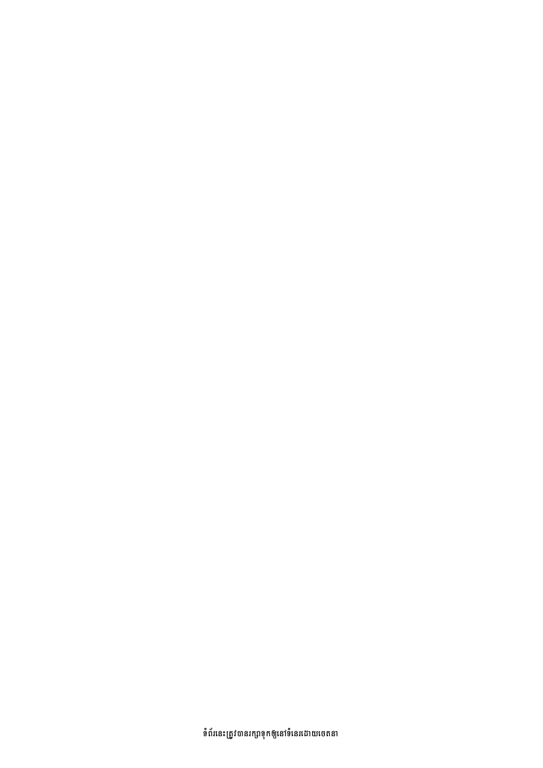ទំំព័រនេះត្រូវបានរក្សាទុកឲ្យនៅទំនេរដោយចេតនា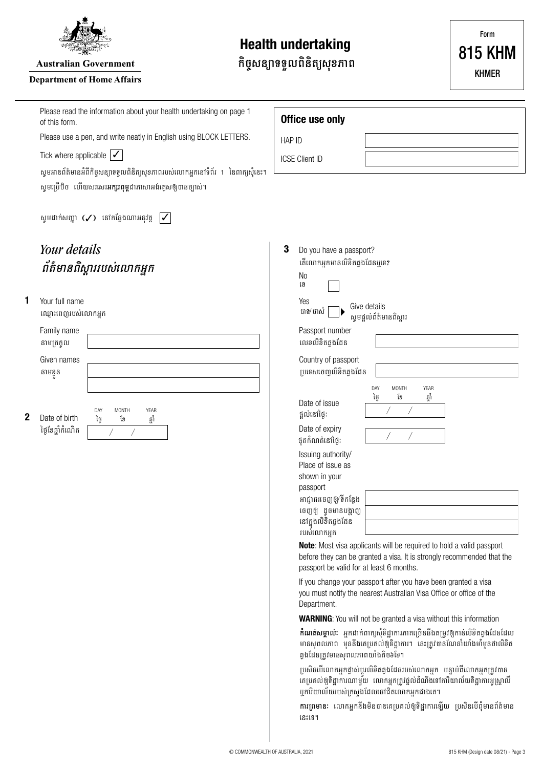

**Australian Government** 

#### **Department of Home Affairs**

# **Health undertaking**

កិច្ចសន្យាទទួលពិនិត្យសុខភាព

Form **815 KHM KHMER** 

|   | Please read the information about your health undertaking on page 1<br>of this form.                                                                 | Office use only                                                                                                                                                                                              |  |  |  |  |
|---|------------------------------------------------------------------------------------------------------------------------------------------------------|--------------------------------------------------------------------------------------------------------------------------------------------------------------------------------------------------------------|--|--|--|--|
|   | Please use a pen, and write neatly in English using BLOCK LETTERS.                                                                                   | HAP ID                                                                                                                                                                                                       |  |  |  |  |
|   | Tick where applicable $\vert \checkmark \vert$                                                                                                       | <b>ICSE Client ID</b>                                                                                                                                                                                        |  |  |  |  |
|   | សូមអានព័ត៌មានអំពីកិច្ចសន្យាទទួលពិនិត្យសុខភាពរបស់លោកអ្នកនៅទំព័រ 1 នៃពាក្យសុំនេះ។<br>សូមប្រើបិច ហើយសរសេរ <b>អក្សរពុម្ព</b> ជាភាសាអង់គ្លេសឲ្យបានច្បាស់។ |                                                                                                                                                                                                              |  |  |  |  |
|   | សូមដាក់សញ្ញា $(\checkmark)$ នៅកន្លែងណាអនុវត្ត<br>$\overline{\mathcal{V}}$                                                                            |                                                                                                                                                                                                              |  |  |  |  |
|   | Your details                                                                                                                                         | 3<br>Do you have a passport?                                                                                                                                                                                 |  |  |  |  |
|   | ព័ត៌មានពិស្តាររបស់លោកអ្នក                                                                                                                            | តើលោកអ្នកមានលិខិតឆ្លងដែនឬទេ?                                                                                                                                                                                 |  |  |  |  |
|   |                                                                                                                                                      | N <sub>0</sub><br>ទេ                                                                                                                                                                                         |  |  |  |  |
| 1 | Your full name                                                                                                                                       | Yes<br>Give details                                                                                                                                                                                          |  |  |  |  |
|   | ឈ្មោះពេញរបស់លោកអ្នក                                                                                                                                  | បាទ/ ចាស់<br>សូមផ្តល់ព័ត៌មានពិស្តារ                                                                                                                                                                          |  |  |  |  |
|   | Family name                                                                                                                                          | Passport number<br>លេខលិខិតឆ្លងដែន                                                                                                                                                                           |  |  |  |  |
|   | នាមត្រក្លុល<br>Given names                                                                                                                           | Country of passport                                                                                                                                                                                          |  |  |  |  |
|   | នាមខ្លួន                                                                                                                                             | ប្រទេសចេញលិខិតឆ្លងដែន                                                                                                                                                                                        |  |  |  |  |
|   |                                                                                                                                                      | DAY<br>MONTH<br>YEAR                                                                                                                                                                                         |  |  |  |  |
| 2 | DAY<br><b>MONTH</b><br><b>YEAR</b><br>Date of birth<br>ថ្ងៃ<br>ខែ<br>ឆ្នាំ<br>ថ្ងៃខែឆ្នាំកំណើត                                                       | ខែ<br>ថ្ងៃ<br>ឆ្នាំ<br>Date of issue<br>ផ្តល់នៅថ្ងៃ:                                                                                                                                                         |  |  |  |  |
|   |                                                                                                                                                      | Date of expiry<br>ផុតកំណត់នៅថ្ងៃ:                                                                                                                                                                            |  |  |  |  |
|   |                                                                                                                                                      | Issuing authority/<br>Place of issue as                                                                                                                                                                      |  |  |  |  |
|   |                                                                                                                                                      | shown in your<br>passport                                                                                                                                                                                    |  |  |  |  |
|   |                                                                                                                                                      | អាជ្ញាធរចេញឲ្យ/ទីកន្លែង                                                                                                                                                                                      |  |  |  |  |
|   |                                                                                                                                                      | ចេញឲ្យ ដូចមានបង្ហាញ<br>នៅក្នុងលិខិតឆ្លងដែន                                                                                                                                                                   |  |  |  |  |
|   |                                                                                                                                                      | របស់លោកអ្នក                                                                                                                                                                                                  |  |  |  |  |
|   |                                                                                                                                                      | Note: Most visa applicants will be required to hold a valid passport<br>before they can be granted a visa. It is strongly recommended that the<br>passport be valid for at least 6 months.                   |  |  |  |  |
|   |                                                                                                                                                      | If you change your passport after you have been granted a visa<br>you must notify the nearest Australian Visa Office or office of the<br>Department.                                                         |  |  |  |  |
|   |                                                                                                                                                      | <b>WARNING:</b> You will not be granted a visa without this information                                                                                                                                      |  |  |  |  |
|   |                                                                                                                                                      | <b>កំណត់សម្គាល់:</b> អ្នកដាក់ពាក្យសុំទិដ្ឋាការភាគច្រើននឹងតម្រូវឲ្យកាន់លិខិតឆ្លងដែនដែល<br>មានសុពលភាព មុននីងគេប្រគល់ឲ្យទិដ្ឋាការ។ នេះត្រូវបានណែនាំយាំងមាំម្ងួនថាលិខិត<br>ឆ្វងដែនត្រូវមានសុពលភាពយាំងតិច៦ខែ។     |  |  |  |  |
|   |                                                                                                                                                      | ប្រសិនបើលោកអ្នកផ្លាស់ប្តូរលិខិតឆ្លងដែនរបស់លោកអ្នក  បន្ទាប់ពីលោកអ្នកត្រូវបាន<br>គេប្រគល់ឲ្យទិដ្ឋាការណាមួយ  លោកអ្នកត្រូវផ្តល់ដំណឹងទៅការិយាល័យទិដ្ឋាការអ្វស្ត្រាលី<br>ឬការិយាល័យរបស់ក្រសួងដែលនៅជិតលោកអ្នកជាងគេ។ |  |  |  |  |
|   |                                                                                                                                                      | ការព្រមានៈ លោកអ្នកនឹងមិនបានគេប្រគល់ឲ្យទិដ្ឋាការឡើយ ប្រសិនបើពុំមានព័ត៌មាន<br>នេះទេ។                                                                                                                           |  |  |  |  |
|   |                                                                                                                                                      |                                                                                                                                                                                                              |  |  |  |  |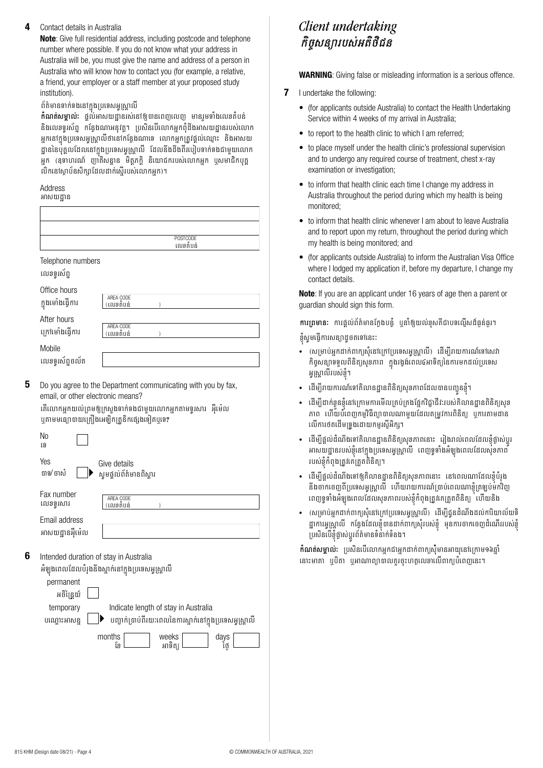#### $\Delta$ Contact details in Australia

Note: Give full residential address, including postcode and telephone number where possible. If you do not know what your address in Australia will be, you must give the name and address of a person in Australia who will know how to contact you (for example, a relative, a friend, your employer or a staff member at your proposed study institution).

#### ព័ត៌មានទាក់ទងនៅក្នុងប្រទេសអូស្រ្តាលី

**កំណត់សម្គាល់:** ផ្តល់់អាសយដ្ឋានរស់នៅឲ្យបានពេញលេញ មានរួមទាំងលេខតំបន់ និងលេខទូរស័ព្ទ កន្លែងណាអនុវត្ត។ ប្រសិនបើលោកអ្នកពុំដឹងអាសយដ្ឋានរបស់លោក អកនៅកងប្រទេសអស្រាលីថានៅកនែងណាទេ លោកអក្សេងជល់ឈោះ និងអាសយ ដ្ឋាននៃបុគ្គលដែលនៅក្នុងប្រទេសអូស្ត្រាលី ដែលនឹងដឹងពីរបៀបទាក់ទងជាមួយលោក អ្នក (ឧទាហរណ៍ ញ៉ាតិសន្ធាន មិត្តភក្តិ និយោជករបស់លោកអ្នក បុសមាជិកបុគ្គ លិកនៅស្ថាប័នសិក្សាដែលដាក់ស្ទើរបស់លោកអ្នក)។

# Address

5

6

អាសយដាន

|                                                       | POSTCODE<br>លេខតំបន់                                                                                                                                                                                                                              |
|-------------------------------------------------------|---------------------------------------------------------------------------------------------------------------------------------------------------------------------------------------------------------------------------------------------------|
| Telephone numbers<br>លេខទូរស័ព្ទ                      |                                                                                                                                                                                                                                                   |
| Office hours<br>ក្នុងមោំងធ្វើការ                      | AREA CODE<br>(លេខតំបន់                                                                                                                                                                                                                            |
| After hours<br>ក្រៅម៉ោងធ្វើការ                        | AREA CODE<br>(លេខតំបន់                                                                                                                                                                                                                            |
| Mobile<br>លេខទូរស័ព្ទចល័ត                             |                                                                                                                                                                                                                                                   |
| email, or other electronic means?                     | Do you agree to the Department communicating with you by fax,<br>តើលោកអ្នកយល់ព្រមឲ្យក្រសួងទាក់ទងជាមួយលោកអ្នកតាមទូរសារ អ៊ីម៉េល<br>ឬតាមមធ្យោបាយគ្រឿងអេឡិកត្រូនិកផ្សេងទៀតឬទេ?                                                                        |
| No<br>ទេ                                              |                                                                                                                                                                                                                                                   |
| Yes<br>បាទ/ ចាស៎                                      | Give details<br>សូមផ្តល់ព័ត៌មានពិស្តារ                                                                                                                                                                                                            |
| Fax number<br>លេខទ្ធរសារ                              | AREA CODE<br>(លេខតំបន់                                                                                                                                                                                                                            |
| Email address<br>អាសយដ្ឋានអ៊ីម៉េល                     |                                                                                                                                                                                                                                                   |
| permanent<br>អចិន្រ្តៃយ៍<br>temporary<br>បណ្តោះអាសន្ន | Intended duration of stay in Australia<br>អំឡុងពេលដែលបំរុងនឹងស្នាក់នៅក្នុងប្រទេសអូស្ត្រាលី<br>Indicate length of stay in Australia<br>បញ្ជាក់ប្រាប់ពីរយៈពេលនៃការស្នាក់នៅក្នុងប្រទេសអូស្ត្រាលី<br>months<br>ខែ<br>weeks<br>days<br>ថ្ងៃ<br>អាទិត្យ |

# Client undertaking កិច្ចសន្យារបស់អតិថិជន

**WARNING:** Giving false or misleading information is a serious offence.

- $\overline{7}$ I undertake the following:
	- (for applicants outside Australia) to contact the Health Undertaking Service within 4 weeks of my arrival in Australia;
	- to report to the health clinic to which I am referred:
	- to place myself under the health clinic's professional supervision and to undergo any required course of treatment, chest x-ray examination or investigation;
	- to inform that health clinic each time I change my address in Australia throughout the period during which my health is being monitored:
	- to inform that health clinic whenever I am about to leave Australia and to report upon my return, throughout the period during which my health is being monitored; and
	- (for applicants outside Australia) to inform the Australian Visa Office where I lodged my application if, before my departure, I change my contact details.

Note: If you are an applicant under 16 years of age then a parent or guardian should sign this form.

ការព្រមាន: ការផ្តល់ព័ត៌មានក្លែងបន្ធំ ឬនាំឲ្យយល់ខុសគឺជាបទល្មើសដ៏ធ្ងន់ធ្ងរ។

ខ្ញុំសូមធ្វើការសន្យាដូចតទៅនេះ:

- (សម្រាប់អ្នកដាក់ពាក្យសុំនៅក្រៅប្រទេសអូស្រ្តាលី) ដើម្បីរាយការណ៍ទៅសេវា កិច្ចសន្យាទទួលពិនិត្យសុខភាព ក្នុងរង្វង់ពេល៤អាទិត្យនៃការមកដល់ប្រទេស អូស្ត្រាលីរបស់ខ្ញុំ។
- ដើម្បីរាយការណ៍ទៅគិលានដ្ឋានពិនិត្យសុខភាពដែលបានបញ្ជូនខ្ញុំ។
- ដើម្បីដាក់ខ្លួនខ្ញុំនៅក្រោមការមើលគ្រប់គ្រងផ្នែកវិជ្ជាជីវៈរបស់គិលានដ្ឋានពិនិត្យសុខ ភាព ហើយបំពេញកម្មវិធីព្យាបាលណាមួយដែលតម្រូវការពិនិត្យ ឬការតាមដាន លើការថតដើមទ្រូងដោយកម្មរស្តីអិក្ស។
- ដើម្បីផ្តល់ដំណឹងទៅគិលានដ្ឋានពិនិត្យសុខភាពនោះ រៀងរាល់ពេលដែលខ្ញុំផ្លាស់ប្តូរ អាសយដ្ឋានរបស់ខ្ញុំនៅក្នុងប្រទេសអ្វស្ត្រាលី ពេញទូទាំងអំឡុងពេលដែលសុខភាព របស់ខ្ញុំកំពុងត្រូវគេត្រួតពិនិត្យ។
- ដើម្បីផ្តល់ដំណឹងទៅឲ្យគិលានដ្ឋានពិនិត្យសុខភាពនោះ នៅពេលណាដែលខ្ញុំបំរុង នឹងថាកចេញពីប្រទេសអូស្ត្រាលី ហើយរាយការណ៍ប្រាប់ពេលណាខ្ញុំត្រឡប់មកវិញ ពេញទូទាំងអំឡុងពេលដែលសុខភាពរបស់ខ្ញុំកំពុងត្រូវគេត្រួតពិនិត្យ ហើយនិង
- (សម្រាប់អ្នកដាក់ពាក្យសុំនៅក្រៅប្រទេសអូស្ត្រាលី) ដើម្បីជូនដំណឹងដល់ការិយាល័យទិ ដ្ឋាការអូស្ត្រាលី កន្លែងដែលខ្ញុំបានដាក់ពាក្យសុំរបស់ខ្ញុំ មុនការចាកចេញដំណើររបស់ខ្ញុំ ប្រសិនបើខ្ញុំផ្លាស់ប្តូរព័ត៌មានទំនាក់ទំនង។

កំណត់សម្គាល់ៈ ប្រសិនបើលោកអ្នកជាអ្នកដាក់ពាក្យសុំមានអាយុនៅក្រោម១៦ឆ្នាំ នោះមាតា ឬបិតា ឬអាណាព្យាបាលគួរចុះហត្ថលេខាលើពាក្យបំពេញនេះ។